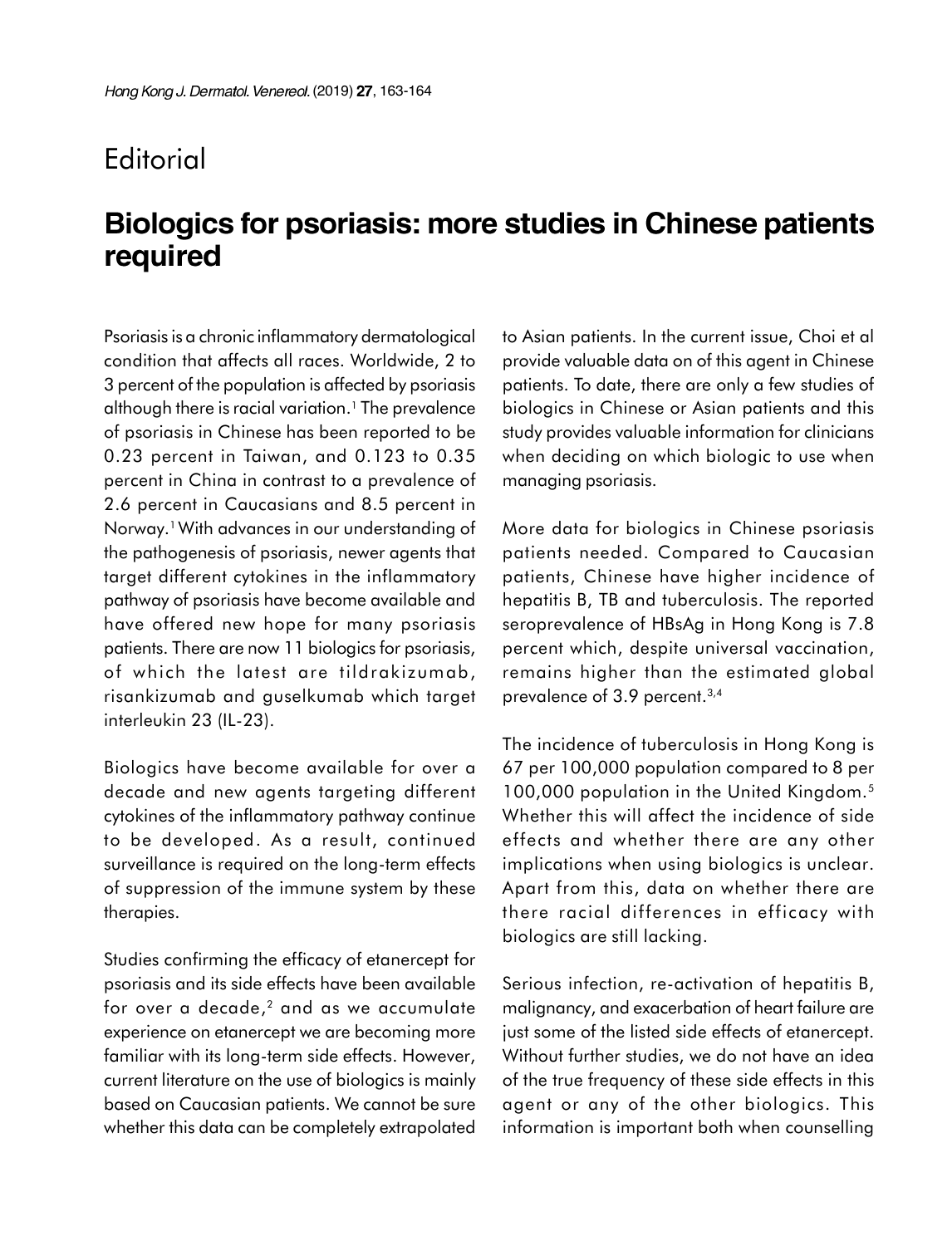## **Editorial**

## **Biologics for psoriasis: more studies in Chinese patients** required

Psoriasis is a chronic inflammatory dermatological condition that affects all races. Worldwide, 2 to 3 percent of the population is affected by psoriasis although there is racial variation.<sup>1</sup> The prevalence of psoriasis in Chinese has been reported to be 0.23 percent in Taiwan, and 0.123 to 0.35 percent in China in contrast to a prevalence of 2.6 percent in Caucasians and 8.5 percent in Norway.1 With advances in our understanding of the pathogenesis of psoriasis, newer agents that target different cytokines in the inflammatory pathway of psoriasis have become available and have offered new hope for many psoriasis patients. There are now 11 biologics for psoriasis, of which the latest are tildrakizumab, risankizumab and guselkumab which target interleukin 23 (IL-23).

Biologics have become available for over a decade and new agents targeting different cytokines of the inflammatory pathway continue to be developed. As a result, continued surveillance is required on the long-term effects of suppression of the immune system by these therapies.

Studies confirming the efficacy of etanercept for psoriasis and its side effects have been available for over a decade, $^{\rm 2}$  and as we accumulate experience on etanercept we are becoming more familiar with its long-term side effects. However, current literature on the use of biologics is mainly based on Caucasian patients. We cannot be sure whether this data can be completely extrapolated

to Asian patients. In the current issue, Choi et al provide valuable data on of this agent in Chinese patients. To date, there are only a few studies of biologics in Chinese or Asian patients and this study provides valuable information for clinicians when deciding on which biologic to use when managing psoriasis.

More data for biologics in Chinese psoriasis patients needed. Compared to Caucasian patients, Chinese have higher incidence of hepatitis B, TB and tuberculosis. The reported seroprevalence of HBsAg in Hong Kong is 7.8 percent which, despite universal vaccination, remains higher than the estimated global prevalence of 3.9 percent.<sup>3,4</sup>

The incidence of tuberculosis in Hong Kong is 67 per 100,000 population compared to 8 per 100,000 population in the United Kingdom.<sup>5</sup> Whether this will affect the incidence of side effects and whether there are any other implications when using biologics is unclear. Apart from this, data on whether there are there racial differences in efficacy with biologics are still lacking.

Serious infection, re-activation of hepatitis B, malignancy, and exacerbation of heart failure are just some of the listed side effects of etanercept. Without further studies, we do not have an idea of the true frequency of these side effects in this agent or any of the other biologics. This information is important both when counselling